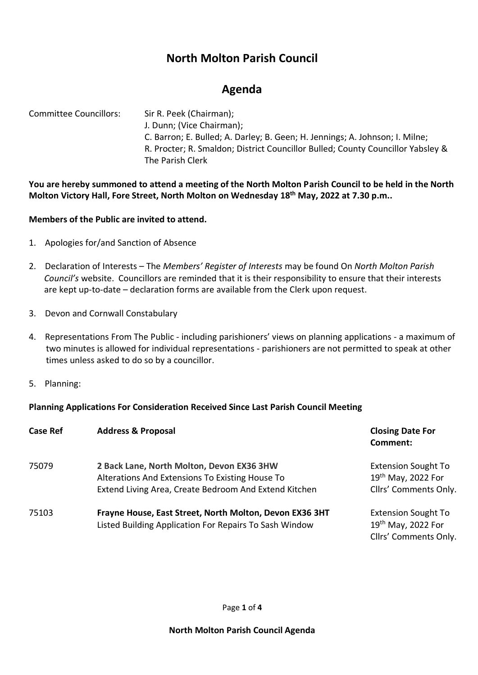# **North Molton Parish Council**

# **Agenda**

Committee Councillors: Sir R. Peek (Chairman); J. Dunn; (Vice Chairman); C. Barron; E. Bulled; A. Darley; B. Geen; H. Jennings; A. Johnson; I. Milne; R. Procter; R. Smaldon; District Councillor Bulled; County Councillor Yabsley & The Parish Clerk

**You are hereby summoned to attend a meeting of the North Molton Parish Council to be held in the North Molton Victory Hall, Fore Street, North Molton on Wednesday 18 th May, 2022 at 7.30 p.m..** 

## **Members of the Public are invited to attend.**

- 1. Apologies for/and Sanction of Absence
- 2. Declaration of Interests The *Members' Register of Interests* may be found On *North Molton Parish Council's* website. Councillors are reminded that it is their responsibility to ensure that their interests are kept up-to-date – declaration forms are available from the Clerk upon request.
- 3. Devon and Cornwall Constabulary
- 4. Representations From The Public including parishioners' views on planning applications a maximum of two minutes is allowed for individual representations - parishioners are not permitted to speak at other times unless asked to do so by a councillor.
- 5. Planning:

## **Planning Applications For Consideration Received Since Last Parish Council Meeting**

| <b>Case Ref</b> | <b>Address &amp; Proposal</b>                                                                                                                         | <b>Closing Date For</b><br>Comment:                                       |
|-----------------|-------------------------------------------------------------------------------------------------------------------------------------------------------|---------------------------------------------------------------------------|
| 75079           | 2 Back Lane, North Molton, Devon EX36 3HW<br>Alterations And Extensions To Existing House To<br>Extend Living Area, Create Bedroom And Extend Kitchen | <b>Extension Sought To</b><br>19th May, 2022 For<br>Cllrs' Comments Only. |
| 75103           | Frayne House, East Street, North Molton, Devon EX36 3HT<br>Listed Building Application For Repairs To Sash Window                                     | <b>Extension Sought To</b><br>19th May, 2022 For<br>Cllrs' Comments Only. |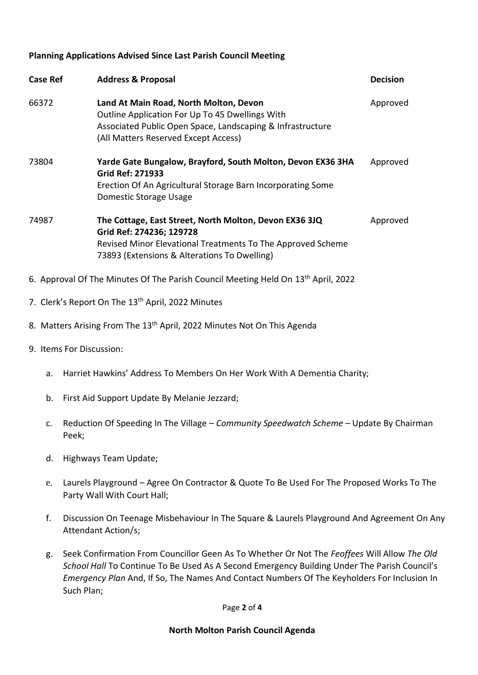### **Planning Applications Advised Since Last Parish Council Meeting**

| <b>Case Ref</b> | <b>Address &amp; Proposal</b>                                                                                                                                                                     | <b>Decision</b> |
|-----------------|---------------------------------------------------------------------------------------------------------------------------------------------------------------------------------------------------|-----------------|
| 66372           | Land At Main Road, North Molton, Devon<br>Outline Application For Up To 45 Dwellings With<br>Associated Public Open Space, Landscaping & Infrastructure<br>(All Matters Reserved Except Access)   | Approved        |
| 73804           | Yarde Gate Bungalow, Brayford, South Molton, Devon EX36 3HA<br><b>Grid Ref: 271933</b><br>Erection Of An Agricultural Storage Barn Incorporating Some<br>Domestic Storage Usage                   | Approved        |
| 74987           | The Cottage, East Street, North Molton, Devon EX36 3JQ<br>Grid Ref: 274236; 129728<br>Revised Minor Elevational Treatments To The Approved Scheme<br>73893 (Extensions & Alterations To Dwelling) | Approved        |
|                 | 6. Approval Of The Minutes Of The Parish Council Meeting Held On 13 <sup>th</sup> April, 2022                                                                                                     |                 |

- 7. Clerk's Report On The 13<sup>th</sup> April, 2022 Minutes
- 8. Matters Arising From The 13<sup>th</sup> April, 2022 Minutes Not On This Agenda
- 9. Items For Discussion:
	- a. Harriet Hawkins' Address To Members On Her Work With A Dementia Charity;
	- b. First Aid Support Update By Melanie Jezzard;
	- c. Reduction Of Speeding In The Village *Community Speedwatch Scheme* Update By Chairman Peek;
	- d. Highways Team Update;
	- e. Laurels Playground Agree On Contractor & Quote To Be Used For The Proposed Works To The Party Wall With Court Hall;
	- f. Discussion On Teenage Misbehaviour In The Square & Laurels Playground And Agreement On Any Attendant Action/s;
	- g. Seek Confirmation From Councillor Geen As To Whether Or Not The *Feoffees* Will Allow *The Old School Hall* To Continue To Be Used As A Second Emergency Building Under The Parish Council's *Emergency Plan* And, If So, The Names And Contact Numbers Of The Keyholders For Inclusion In Such Plan;

Page **2** of **4**

### **North Molton Parish Council Agenda**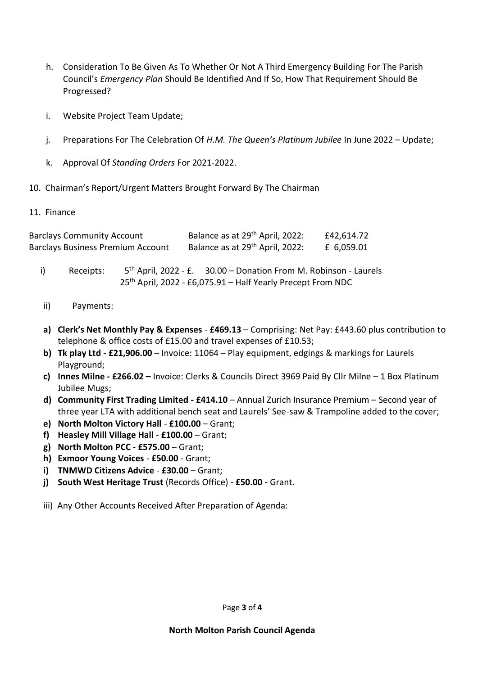- h. Consideration To Be Given As To Whether Or Not A Third Emergency Building For The Parish Council's *Emergency Plan* Should Be Identified And If So, How That Requirement Should Be Progressed?
- i. Website Project Team Update;
- j. Preparations For The Celebration Of *H.M. The Queen's Platinum Jubilee* In June 2022 Update;
- k. Approval Of *Standing Orders* For 2021-2022.
- 10. Chairman's Report/Urgent Matters Brought Forward By The Chairman
- 11. Finance

| <b>Barclays Community Account</b>        | Balance as at 29 <sup>th</sup> April, 2022: | £42,614.72 |
|------------------------------------------|---------------------------------------------|------------|
| <b>Barclays Business Premium Account</b> | Balance as at 29 <sup>th</sup> April, 2022: | £ 6,059.01 |

- i) Receipts: 5<sup>th</sup> April, 2022 - £. 30.00 – Donation From M. Robinson - Laurels 25th April, 2022 - £6,075.91 – Half Yearly Precept From NDC
- ii) Payments:
- **a) Clerk's Net Monthly Pay & Expenses £469.13** Comprising: Net Pay: £443.60 plus contribution to telephone & office costs of £15.00 and travel expenses of £10.53;
- **b) Tk play Ltd £21,906.00** Invoice: 11064 Play equipment, edgings & markings for Laurels Playground;
- **c) Innes Milne - £266.02 –** Invoice: Clerks & Councils Direct 3969 Paid By Cllr Milne 1 Box Platinum Jubilee Mugs;
- **d) Community First Trading Limited - £414.10** Annual Zurich Insurance Premium Second year of three year LTA with additional bench seat and Laurels' See-saw & Trampoline added to the cover;
- **e) North Molton Victory Hall £100.00** Grant;
- **f) Heasley Mill Village Hall £100.00** Grant;
- **g) North Molton PCC £575.00** Grant;
- **h) Exmoor Young Voices £50.00** Grant;
- **i) TNMWD Citizens Advice £30.00** Grant;
- **j) South West Heritage Trust** (Records Office) **£50.00 -** Grant**.**
- iii) Any Other Accounts Received After Preparation of Agenda: